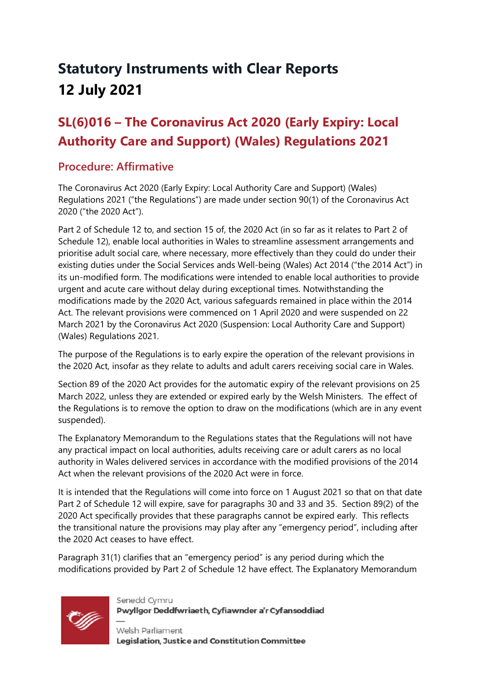# **Statutory Instruments with Clear Reports 12 July 2021**

## **SL(6)016 – The Coronavirus Act 2020 (Early Expiry: Local Authority Care and Support) (Wales) Regulations 2021**

#### **Procedure: Affirmative**

The Coronavirus Act 2020 (Early Expiry: Local Authority Care and Support) (Wales) Regulations 2021 ("the Regulations") are made under section 90(1) of the Coronavirus Act 2020 ("the 2020 Act").

Part 2 of Schedule 12 to, and section 15 of, the 2020 Act (in so far as it relates to Part 2 of Schedule 12), enable local authorities in Wales to streamline assessment arrangements and prioritise adult social care, where necessary, more effectively than they could do under their existing duties under the Social Services ands Well-being (Wales) Act 2014 ("the 2014 Act") in its un-modified form. The modifications were intended to enable local authorities to provide urgent and acute care without delay during exceptional times. Notwithstanding the modifications made by the 2020 Act, various safeguards remained in place within the 2014 Act. The relevant provisions were commenced on 1 April 2020 and were suspended on 22 March 2021 by the Coronavirus Act 2020 (Suspension: Local Authority Care and Support) (Wales) Regulations 2021.

The purpose of the Regulations is to early expire the operation of the relevant provisions in the 2020 Act, insofar as they relate to adults and adult carers receiving social care in Wales.

Section 89 of the 2020 Act provides for the automatic expiry of the relevant provisions on 25 March 2022, unless they are extended or expired early by the Welsh Ministers. The effect of the Regulations is to remove the option to draw on the modifications (which are in any event suspended).

The Explanatory Memorandum to the Regulations states that the Regulations will not have any practical impact on local authorities, adults receiving care or adult carers as no local authority in Wales delivered services in accordance with the modified provisions of the 2014 Act when the relevant provisions of the 2020 Act were in force.

It is intended that the Regulations will come into force on 1 August 2021 so that on that date Part 2 of Schedule 12 will expire, save for paragraphs 30 and 33 and 35. Section 89(2) of the 2020 Act specifically provides that these paragraphs cannot be expired early. This reflects the transitional nature the provisions may play after any "emergency period", including after the 2020 Act ceases to have effect.

Paragraph 31(1) clarifies that an "emergency period" is any period during which the modifications provided by Part 2 of Schedule 12 have effect. The Explanatory Memorandum



Senedd Cvmru Pwyllgor Deddfwriaeth, Cyfiawnder a'r Cyfansoddiad

Welsh Parliament Legislation, Justice and Constitution Committee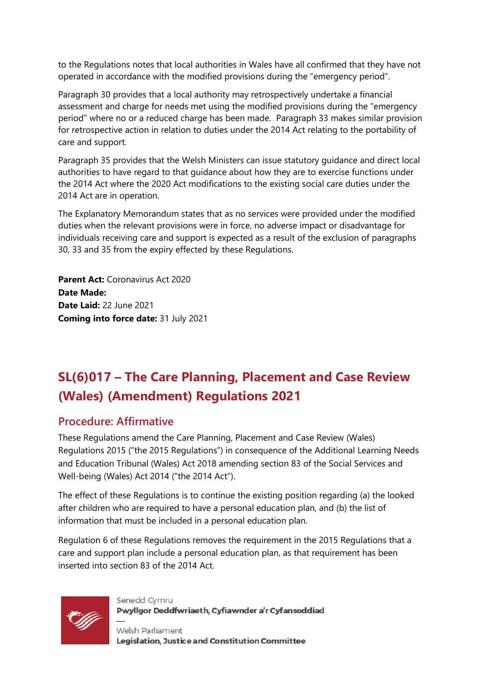to the Regulations notes that local authorities in Wales have all confirmed that they have not operated in accordance with the modified provisions during the "emergency period".

Paragraph 30 provides that a local authority may retrospectively undertake a financial assessment and charge for needs met using the modified provisions during the "emergency period" where no or a reduced charge has been made. Paragraph 33 makes similar provision for retrospective action in relation to duties under the 2014 Act relating to the portability of care and support.

Paragraph 35 provides that the Welsh Ministers can issue statutory guidance and direct local authorities to have regard to that guidance about how they are to exercise functions under the 2014 Act where the 2020 Act modifications to the existing social care duties under the 2014 Act are in operation.

The Explanatory Memorandum states that as no services were provided under the modified duties when the relevant provisions were in force, no adverse impact or disadvantage for individuals receiving care and support is expected as a result of the exclusion of paragraphs 30, 33 and 35 from the expiry effected by these Regulations.

**Parent Act:** Coronavirus Act 2020 **Date Made: Date Laid:** 22 June 2021 **Coming into force date:** 31 July 2021

## **SL(6)017 – The Care Planning, Placement and Case Review (Wales) (Amendment) Regulations 2021**

### **Procedure: Affirmative**

These Regulations amend the Care Planning, Placement and Case Review (Wales) Regulations 2015 ("the 2015 Regulations") in consequence of the Additional Learning Needs and Education Tribunal (Wales) Act 2018 amending section 83 of the Social Services and Well-being (Wales) Act 2014 ("the 2014 Act").

The effect of these Regulations is to continue the existing position regarding (a) the looked after children who are required to have a personal education plan, and (b) the list of information that must be included in a personal education plan.

Regulation 6 of these Regulations removes the requirement in the 2015 Regulations that a care and support plan include a personal education plan, as that requirement has been inserted into section 83 of the 2014 Act.



Senedd Cvmru Pwyllgor Deddfwriaeth, Cyfiawnder a'r Cyfansoddiad

Welsh Parliament Legislation, Justice and Constitution Committee